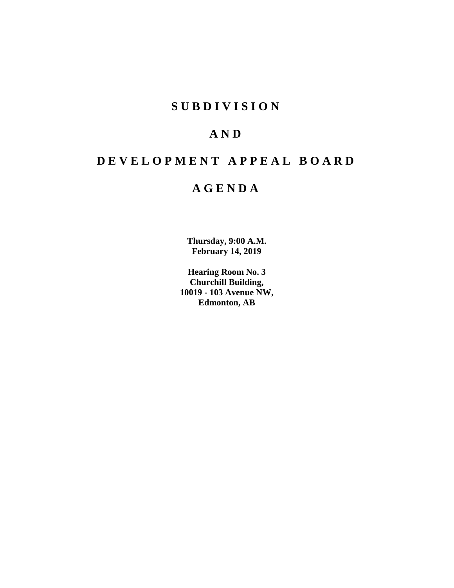# **SUBDIVISION**

# **AND**

# **DEVELOPMENT APPEAL BOARD**

# **AGENDA**

**Thursday, 9:00 A.M. February 14, 2019**

**Hearing Room No. 3 Churchill Building, 10019 - 103 Avenue NW, Edmonton, AB**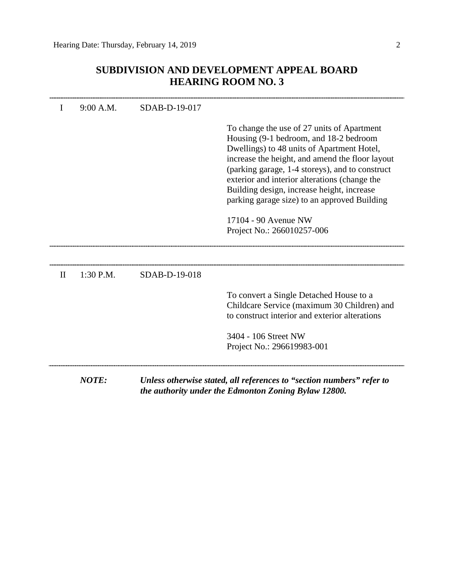# **SUBDIVISION AND DEVELOPMENT APPEAL BOARD HEARING ROOM NO. 3**

| I            | 9:00 A.M.    | SDAB-D-19-017 |                                                                                                                                                                                                                                                                                                                                                                                                                                               |
|--------------|--------------|---------------|-----------------------------------------------------------------------------------------------------------------------------------------------------------------------------------------------------------------------------------------------------------------------------------------------------------------------------------------------------------------------------------------------------------------------------------------------|
|              |              |               | To change the use of 27 units of Apartment<br>Housing (9-1 bedroom, and 18-2 bedroom<br>Dwellings) to 48 units of Apartment Hotel,<br>increase the height, and amend the floor layout<br>(parking garage, 1-4 storeys), and to construct<br>exterior and interior alterations (change the<br>Building design, increase height, increase<br>parking garage size) to an approved Building<br>17104 - 90 Avenue NW<br>Project No.: 266010257-006 |
| $\mathbf{I}$ | 1:30 P.M.    | SDAB-D-19-018 |                                                                                                                                                                                                                                                                                                                                                                                                                                               |
|              |              |               | To convert a Single Detached House to a<br>Childcare Service (maximum 30 Children) and<br>to construct interior and exterior alterations<br>3404 - 106 Street NW<br>Project No.: 296619983-001                                                                                                                                                                                                                                                |
|              | <b>NOTE:</b> |               | Unless otherwise stated, all references to "section numbers" refer to<br>the authority under the Edmonton Zoning Bylaw 12800.                                                                                                                                                                                                                                                                                                                 |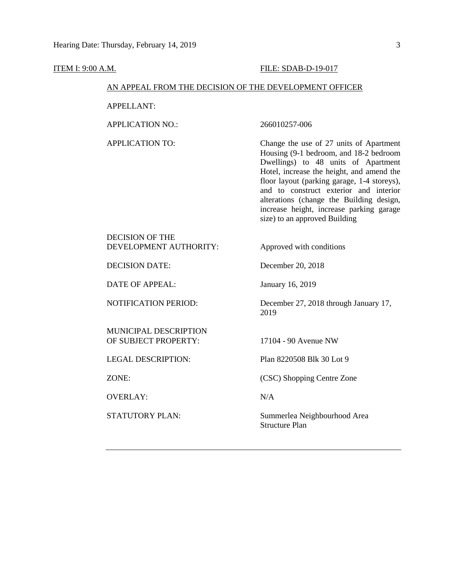#### **ITEM I: 9:00 A.M. FILE: SDAB-D-19-017**

# AN APPEAL FROM THE DECISION OF THE DEVELOPMENT OFFICER

APPELLANT:

APPLICATION NO.: 266010257-006

APPLICATION TO: Change the use of 27 units of Apartment Housing (9-1 bedroom, and 18-2 bedroom Dwellings) to 48 units of Apartment Hotel, increase the height, and amend the floor layout (parking garage, 1-4 storeys), and to construct exterior and interior alterations (change the Building design, increase height, increase parking garage size) to an approved Building

# DECISION OF THE DEVELOPMENT AUTHORITY: Approved with conditions

DECISION DATE: December 20, 2018

DATE OF APPEAL: January 16, 2019

MUNICIPAL DESCRIPTION OF SUBJECT PROPERTY: 17104 - 90 Avenue NW

LEGAL DESCRIPTION: Plan 8220508 Blk 30 Lot 9

OVERLAY: N/A

NOTIFICATION PERIOD: December 27, 2018 through January 17, 2019

ZONE: (CSC) Shopping Centre Zone

STATUTORY PLAN: Summerlea Neighbourhood Area Structure Plan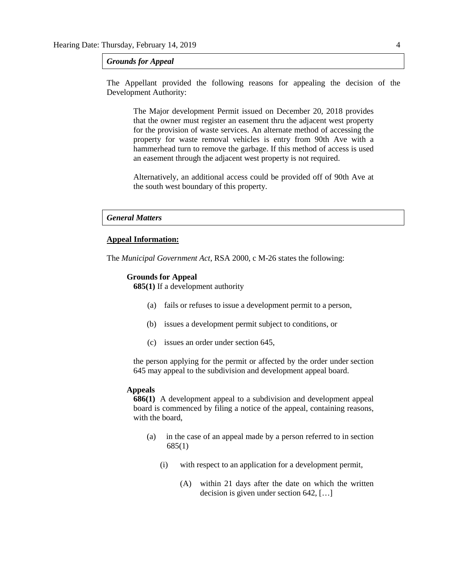*Grounds for Appeal*

The Appellant provided the following reasons for appealing the decision of the Development Authority:

The Major development Permit issued on December 20, 2018 provides that the owner must register an easement thru the adjacent west property for the provision of waste services. An alternate method of accessing the property for waste removal vehicles is entry from 90th Ave with a hammerhead turn to remove the garbage. If this method of access is used an easement through the adjacent west property is not required.

Alternatively, an additional access could be provided off of 90th Ave at the south west boundary of this property.

#### *General Matters*

### **Appeal Information:**

The *Municipal Government Act*, RSA 2000, c M-26 states the following:

#### **Grounds for Appeal**

**685(1)** If a development authority

- (a) fails or refuses to issue a development permit to a person,
- (b) issues a development permit subject to conditions, or
- (c) issues an order under section 645,

the person applying for the permit or affected by the order under section 645 may appeal to the subdivision and development appeal board.

#### **Appeals**

**686(1)** A development appeal to a subdivision and development appeal board is commenced by filing a notice of the appeal, containing reasons, with the board,

- (a) in the case of an appeal made by a person referred to in section 685(1)
	- (i) with respect to an application for a development permit,
		- (A) within 21 days after the date on which the written decision is given under section 642, […]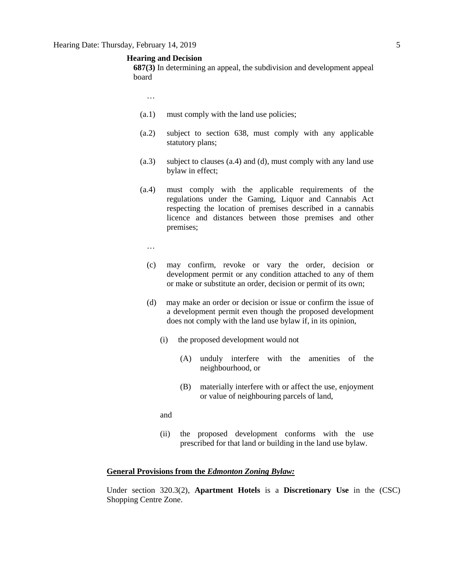## **Hearing and Decision**

**687(3)** In determining an appeal, the subdivision and development appeal board

- …
- (a.1) must comply with the land use policies;
- (a.2) subject to section 638, must comply with any applicable statutory plans;
- (a.3) subject to clauses (a.4) and (d), must comply with any land use bylaw in effect;
- (a.4) must comply with the applicable requirements of the regulations under the Gaming, Liquor and Cannabis Act respecting the location of premises described in a cannabis licence and distances between those premises and other premises;
	- …
	- (c) may confirm, revoke or vary the order, decision or development permit or any condition attached to any of them or make or substitute an order, decision or permit of its own;
	- (d) may make an order or decision or issue or confirm the issue of a development permit even though the proposed development does not comply with the land use bylaw if, in its opinion,
		- (i) the proposed development would not
			- (A) unduly interfere with the amenities of the neighbourhood, or
			- (B) materially interfere with or affect the use, enjoyment or value of neighbouring parcels of land,
		- and
		- (ii) the proposed development conforms with the use prescribed for that land or building in the land use bylaw.

## **General Provisions from the** *Edmonton Zoning Bylaw:*

Under section 320.3(2), **Apartment Hotels** is a **Discretionary Use** in the (CSC) Shopping Centre Zone.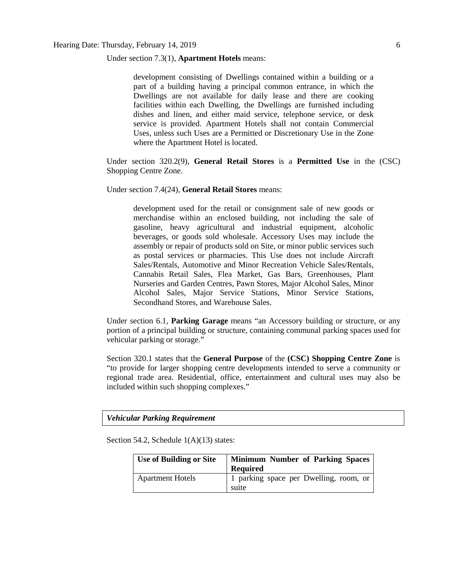#### Under section 7.3(1), **Apartment Hotels** means:

development consisting of Dwellings contained within a building or a part of a building having a principal common entrance, in which the Dwellings are not available for daily lease and there are cooking facilities within each Dwelling, the Dwellings are furnished including dishes and linen, and either maid service, telephone service, or desk service is provided. Apartment Hotels shall not contain Commercial Uses, unless such Uses are a Permitted or Discretionary Use in the Zone where the Apartment Hotel is located.

Under section 320.2(9), **General Retail Stores** is a **Permitted Use** in the (CSC) Shopping Centre Zone.

Under section 7.4(24), **General Retail Stores** means:

development used for the retail or consignment sale of new goods or merchandise within an enclosed building, not including the sale of gasoline, heavy agricultural and industrial equipment, alcoholic beverages, or goods sold wholesale. Accessory Uses may include the assembly or repair of products sold on Site, or minor public services such as postal services or pharmacies. This Use does not include Aircraft Sales/Rentals, Automotive and Minor Recreation Vehicle Sales/Rentals, Cannabis Retail Sales, Flea Market, Gas Bars, Greenhouses, Plant Nurseries and Garden Centres, Pawn Stores, Major Alcohol Sales, Minor Alcohol Sales, Major Service Stations, Minor Service Stations, Secondhand Stores, and Warehouse Sales.

Under section 6.1, **Parking Garage** means "an Accessory building or structure, or any portion of a principal building or structure, containing communal parking spaces used for vehicular parking or storage."

Section 320.1 states that the **General Purpose** of the **(CSC) Shopping Centre Zone** is "to provide for larger shopping centre developments intended to serve a community or regional trade area. Residential, office, entertainment and cultural uses may also be included within such shopping complexes."

*Vehicular Parking Requirement*

Section 54.2, Schedule 1(A)(13) states:

| <b>Use of Building or Site</b> | <b>Minimum Number of Parking Spaces</b><br><b>Required</b> |
|--------------------------------|------------------------------------------------------------|
| <b>Apartment Hotels</b>        | 1 parking space per Dwelling, room, or<br>suite            |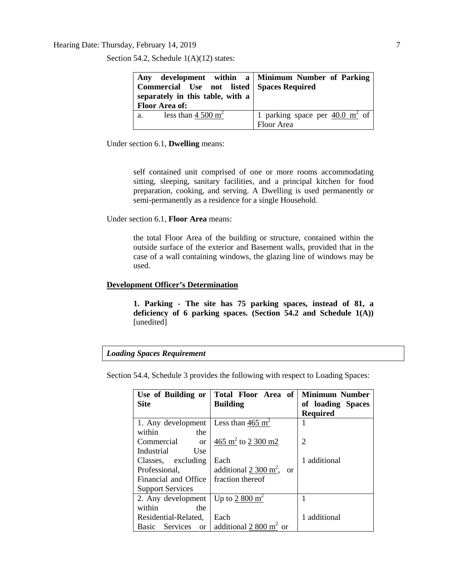# Hearing Date: Thursday, February 14, 2019 7

Section 54.2, Schedule  $1(A)(12)$  states:

| Any development within a Minimum Number of Parking<br>Commercial Use not listed Spaces Required<br>separately in this table, with a<br><b>Floor Area of:</b> |                                                     |
|--------------------------------------------------------------------------------------------------------------------------------------------------------------|-----------------------------------------------------|
| less than $4\,500 \text{ m}^2$                                                                                                                               | 1 parking space per $\frac{40.0 \text{ m}^2}{2}$ of |
| a.                                                                                                                                                           | Floor Area                                          |

Under section 6.1, **Dwelling** means:

self contained unit comprised of one or more rooms accommodating sitting, sleeping, sanitary facilities, and a principal kitchen for food preparation, cooking, and serving. A Dwelling is used permanently or semi-permanently as a residence for a single Household.

Under section 6.1, **Floor Area** means:

the total Floor Area of the building or structure, contained within the outside surface of the exterior and Basement walls, provided that in the case of a wall containing windows, the glazing line of windows may be used.

## **Development Officer's Determination**

**1. Parking - The site has 75 parking spaces, instead of 81, a deficiency of 6 parking spaces. (Section 54.2 and Schedule 1(A))**  [unedited]

#### *Loading Spaces Requirement*

Section 54.4, Schedule 3 provides the following with respect to Loading Spaces:

| Use of Building or<br><b>Site</b>  | Total Floor Area of<br><b>Building</b>            | <b>Minimum Number</b><br>of loading Spaces<br><b>Required</b> |
|------------------------------------|---------------------------------------------------|---------------------------------------------------------------|
| 1. Any development                 | Less than 465 $m2$                                |                                                               |
| within<br>the                      |                                                   |                                                               |
| Commercial<br><sub>or</sub>        | 465 $\text{m}^2$ to 2 300 m2                      | 2                                                             |
| Industrial<br>Use                  |                                                   |                                                               |
| Classes, excluding                 | Each                                              | 1 additional                                                  |
| Professional.                      | additional $2.300 \text{ m}^2$ ,<br><sub>or</sub> |                                                               |
| Financial and Office               | fraction thereof                                  |                                                               |
| <b>Support Services</b>            |                                                   |                                                               |
| 2. Any development                 | Up to $2800 \text{ m}^2$                          |                                                               |
| within<br>the                      |                                                   |                                                               |
| Residential-Related,               | Each                                              | 1 additional                                                  |
| Services<br>Basic<br><sub>or</sub> | additional $2800 \text{ m}^2$ or                  |                                                               |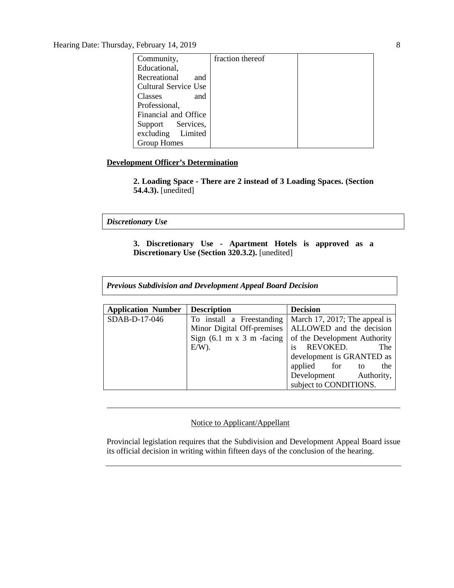Hearing Date: Thursday, February 14, 2019 8

| Community,                  | fraction thereof |  |
|-----------------------------|------------------|--|
| Educational,                |                  |  |
| Recreational<br>and         |                  |  |
| <b>Cultural Service Use</b> |                  |  |
| Classes<br>and              |                  |  |
| Professional,               |                  |  |
| Financial and Office        |                  |  |
| Support Services,           |                  |  |
| excluding Limited           |                  |  |
| <b>Group Homes</b>          |                  |  |

# **Development Officer's Determination**

**2. Loading Space - There are 2 instead of 3 Loading Spaces. (Section 54.4.3).** [unedited]

*Discretionary Use*

**3. Discretionary Use - Apartment Hotels is approved as a Discretionary Use (Section 320.3.2).** [unedited]

*Previous Subdivision and Development Appeal Board Decision*

| <b>Application Number</b> | <b>Description</b>                           | <b>Decision</b>               |
|---------------------------|----------------------------------------------|-------------------------------|
| SDAB-D-17-046             | To install a Freestanding                    | March 17, 2017; The appeal is |
|                           | Minor Digital Off-premises                   | ALLOWED and the decision      |
|                           | Sign $(6.1 \text{ m x } 3 \text{ m}$ -facing | of the Development Authority  |
|                           | $E/W$ ).                                     | is<br>REVOKED.<br>The         |
|                           |                                              | development is GRANTED as     |
|                           |                                              | applied for to<br>the         |
|                           |                                              | Development Authority,        |
|                           |                                              | subject to CONDITIONS.        |

# Notice to Applicant/Appellant

Provincial legislation requires that the Subdivision and Development Appeal Board issue its official decision in writing within fifteen days of the conclusion of the hearing.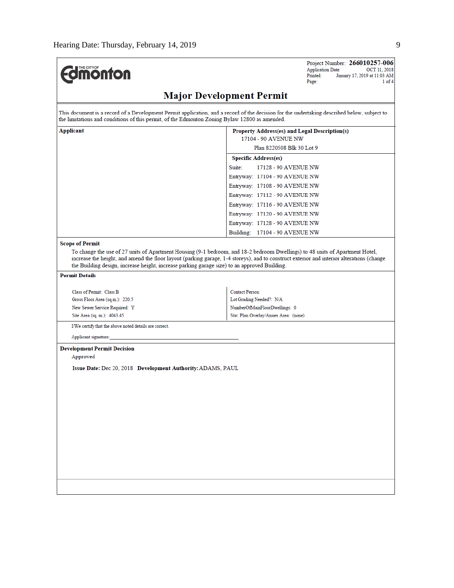| <b>Edmonton</b>                                                                                                                                                                                                                                        | Project Number: 266010257-006<br><b>Application Date:</b><br>OCT 11, 2018<br>Printed:<br>January 17, 2019 at 11:03 AM<br>Page:<br>1 of 4  |  |  |  |
|--------------------------------------------------------------------------------------------------------------------------------------------------------------------------------------------------------------------------------------------------------|-------------------------------------------------------------------------------------------------------------------------------------------|--|--|--|
| <b>Major Development Permit</b>                                                                                                                                                                                                                        |                                                                                                                                           |  |  |  |
| This document is a record of a Development Permit application, and a record of the decision for the undertaking described below, subject to<br>the limitations and conditions of this permit, of the Edmonton Zoning Bylaw 12800 as amended.           |                                                                                                                                           |  |  |  |
| Applicant<br>Property Address(es) and Legal Description(s)<br>17104 - 90 AVENUE NW                                                                                                                                                                     |                                                                                                                                           |  |  |  |
|                                                                                                                                                                                                                                                        | Plan 8220508 Blk 30 Lot 9                                                                                                                 |  |  |  |
|                                                                                                                                                                                                                                                        | <b>Specific Address(es)</b>                                                                                                               |  |  |  |
|                                                                                                                                                                                                                                                        | Suite:<br>17128 - 90 AVENUE NW                                                                                                            |  |  |  |
|                                                                                                                                                                                                                                                        | Entryway: 17104 - 90 AVENUE NW                                                                                                            |  |  |  |
|                                                                                                                                                                                                                                                        | Entryway: 17108 - 90 AVENUE NW                                                                                                            |  |  |  |
|                                                                                                                                                                                                                                                        | Entryway: 17112 - 90 AVENUE NW                                                                                                            |  |  |  |
|                                                                                                                                                                                                                                                        | Entryway: 17116 - 90 AVENUE NW                                                                                                            |  |  |  |
|                                                                                                                                                                                                                                                        | Entryway: 17120 - 90 AVENUE NW                                                                                                            |  |  |  |
|                                                                                                                                                                                                                                                        | Entryway: 17128 - 90 AVENUE NW                                                                                                            |  |  |  |
|                                                                                                                                                                                                                                                        | Building: 17104 - 90 AVENUE NW                                                                                                            |  |  |  |
| <b>Scope of Permit</b><br>To change the use of 27 units of Apartment Housing (9-1 bedroom, and 18-2 bedroom Dwellings) to 48 units of Apartment Hotel,<br>the Building design, increase height, increase parking garage size) to an approved Building. | increase the height, and amend the floor layout (parking garage, 1-4 storeys), and to construct exterior and interior alterations (change |  |  |  |
| <b>Permit Details</b>                                                                                                                                                                                                                                  |                                                                                                                                           |  |  |  |
|                                                                                                                                                                                                                                                        |                                                                                                                                           |  |  |  |
| Class of Permit: Class B                                                                                                                                                                                                                               | Contact Person:                                                                                                                           |  |  |  |
| Gross Floor Area (sq.m.): 220.5<br>New Sewer Service Required: Y                                                                                                                                                                                       | Lot Grading Needed?: N/A<br>NumberOfMainFloorDwellings: 0                                                                                 |  |  |  |
| Site Area (sq. m.): 4043.45                                                                                                                                                                                                                            | Stat. Plan Overlay/Annex Area: (none)                                                                                                     |  |  |  |
| I/We certify that the above noted details are correct.                                                                                                                                                                                                 |                                                                                                                                           |  |  |  |
|                                                                                                                                                                                                                                                        |                                                                                                                                           |  |  |  |
| Applicant signature:                                                                                                                                                                                                                                   |                                                                                                                                           |  |  |  |
| <b>Development Permit Decision</b>                                                                                                                                                                                                                     |                                                                                                                                           |  |  |  |
| Approved                                                                                                                                                                                                                                               |                                                                                                                                           |  |  |  |
| Issue Date: Dec 20, 2018 Development Authority: ADAMS, PAUL                                                                                                                                                                                            |                                                                                                                                           |  |  |  |
|                                                                                                                                                                                                                                                        |                                                                                                                                           |  |  |  |
|                                                                                                                                                                                                                                                        |                                                                                                                                           |  |  |  |
|                                                                                                                                                                                                                                                        |                                                                                                                                           |  |  |  |
|                                                                                                                                                                                                                                                        |                                                                                                                                           |  |  |  |
|                                                                                                                                                                                                                                                        |                                                                                                                                           |  |  |  |
|                                                                                                                                                                                                                                                        |                                                                                                                                           |  |  |  |
|                                                                                                                                                                                                                                                        |                                                                                                                                           |  |  |  |
|                                                                                                                                                                                                                                                        |                                                                                                                                           |  |  |  |
|                                                                                                                                                                                                                                                        |                                                                                                                                           |  |  |  |
|                                                                                                                                                                                                                                                        |                                                                                                                                           |  |  |  |
|                                                                                                                                                                                                                                                        |                                                                                                                                           |  |  |  |
|                                                                                                                                                                                                                                                        |                                                                                                                                           |  |  |  |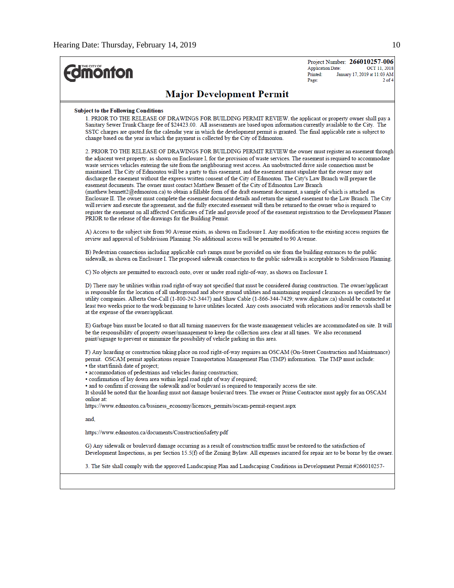$\overline{a}$ 

| <b>Imonton</b>                                                                                                                                                                                                                                                                                                                                                                                                                                                                                                                                                                                                                                                                                                                                                                                                                                                                                                                                                                                                                                                                                                                                                                                                                                                                                                                                       | Project Number: 266010257-006<br><b>Application Date:</b><br>OCT 11, 2018<br>January 17, 2019 at 11:03 AM<br>Printed:<br>$2$ of $4$<br>Page: |
|------------------------------------------------------------------------------------------------------------------------------------------------------------------------------------------------------------------------------------------------------------------------------------------------------------------------------------------------------------------------------------------------------------------------------------------------------------------------------------------------------------------------------------------------------------------------------------------------------------------------------------------------------------------------------------------------------------------------------------------------------------------------------------------------------------------------------------------------------------------------------------------------------------------------------------------------------------------------------------------------------------------------------------------------------------------------------------------------------------------------------------------------------------------------------------------------------------------------------------------------------------------------------------------------------------------------------------------------------|----------------------------------------------------------------------------------------------------------------------------------------------|
| <b>Major Development Permit</b>                                                                                                                                                                                                                                                                                                                                                                                                                                                                                                                                                                                                                                                                                                                                                                                                                                                                                                                                                                                                                                                                                                                                                                                                                                                                                                                      |                                                                                                                                              |
| <b>Subject to the Following Conditions</b><br>1. PRIOR TO THE RELEASE OF DRAWINGS FOR BUILDING PERMIT REVIEW, the applicant or property owner shall pay a<br>Sanitary Sewer Trunk Charge fee of \$24423.00. All assessments are based upon information currently available to the City. The<br>SSTC charges are quoted for the calendar year in which the development permit is granted. The final applicable rate is subject to<br>change based on the year in which the payment is collected by the City of Edmonton.                                                                                                                                                                                                                                                                                                                                                                                                                                                                                                                                                                                                                                                                                                                                                                                                                              |                                                                                                                                              |
| 2. PRIOR TO THE RELEASE OF DRAWINGS FOR BUILDING PERMIT REVIEW the owner must register an easement through<br>the adjacent west property, as shown on Enclosure I, for the provision of waste services. The easement is required to accommodate<br>waste services vehicles entering the site from the neighbouring west access. An unobstructed drive aisle connection must be<br>maintained. The City of Edmonton will be a party to this easement, and the easement must stipulate that the owner may not<br>discharge the easement without the express written consent of the City of Edmonton. The City's Law Branch will prepare the<br>easement documents. The owner must contact Matthew Bennett of the City of Edmonton Law Branch<br>$(mathew.bennett2@edmonton.ca)$ to obtain a fillable form of the draft easement document, a sample of which is attached as<br>Enclosure II. The owner must complete the easement document details and return the signed easement to the Law Branch. The City<br>will review and execute the agreement, and the fully executed easement will then be returned to the owner who is required to<br>register the easement on all affected Certificates of Title and provide proof of the easement registration to the Development Planner<br>PRIOR to the release of the drawings for the Building Permit. |                                                                                                                                              |
| A) Access to the subject site from 90 Avenue exists, as shown on Enclosure I. Any modification to the existing access requires the<br>review and approval of Subdivision Planning. No additional access will be permitted to 90 Avenue.                                                                                                                                                                                                                                                                                                                                                                                                                                                                                                                                                                                                                                                                                                                                                                                                                                                                                                                                                                                                                                                                                                              |                                                                                                                                              |
| B) Pedestrian connections including applicable curb ramps must be provided on site from the building entrances to the public<br>sidewalk, as shown on Enclosure I. The proposed sidewalk connection to the public sidewalk is acceptable to Subdivision Planning.                                                                                                                                                                                                                                                                                                                                                                                                                                                                                                                                                                                                                                                                                                                                                                                                                                                                                                                                                                                                                                                                                    |                                                                                                                                              |
| C) No objects are permitted to encroach onto, over or under road right-of-way, as shown on Enclosure I.                                                                                                                                                                                                                                                                                                                                                                                                                                                                                                                                                                                                                                                                                                                                                                                                                                                                                                                                                                                                                                                                                                                                                                                                                                              |                                                                                                                                              |
| D) There may be utilities within road right-of-way not specified that must be considered during construction. The owner/applicant<br>is responsible for the location of all underground and above ground utilities and maintaining required clearances as specified by the<br>utility companies. Alberta One-Call (1-800-242-3447) and Shaw Cable (1-866-344-7429; www.digshaw.ca) should be contacted at<br>least two weeks prior to the work beginning to have utilities located. Any costs associated with relocations and/or removals shall be<br>at the expense of the owner/applicant.                                                                                                                                                                                                                                                                                                                                                                                                                                                                                                                                                                                                                                                                                                                                                         |                                                                                                                                              |
| E) Garbage bins must be located so that all turning maneuvers for the waste management vehicles are accommodated on site. It will<br>be the responsibility of property owner/management to keep the collection area clear at all times. We also recommend<br>paint/signage to prevent or minimize the possibility of vehicle parking in this area.                                                                                                                                                                                                                                                                                                                                                                                                                                                                                                                                                                                                                                                                                                                                                                                                                                                                                                                                                                                                   |                                                                                                                                              |
| F) Any hoarding or construction taking place on road right-of-way requires an OSCAM (On-Street Construction and Maintenance)<br>permit. OSCAM permit applications require Transportation Management Plan (TMP) information. The TMP must include:<br>• the start/finish date of project;<br>· accommodation of pedestrians and vehicles during construction;<br>. confirmation of lay down area within legal road right of way if required;<br>• and to confirm if crossing the sidewalk and/or boulevard is required to temporarily access the site.<br>It should be noted that the hoarding must not damage boulevard trees. The owner or Prime Contractor must apply for an OSCAM<br>online at:<br>https://www.edmonton.ca/business_economy/licences_permits/oscam-permit-request.aspx                                                                                                                                                                                                                                                                                                                                                                                                                                                                                                                                                            |                                                                                                                                              |
| and.                                                                                                                                                                                                                                                                                                                                                                                                                                                                                                                                                                                                                                                                                                                                                                                                                                                                                                                                                                                                                                                                                                                                                                                                                                                                                                                                                 |                                                                                                                                              |
| https://www.edmonton.ca/documents/ConstructionSafety.pdf                                                                                                                                                                                                                                                                                                                                                                                                                                                                                                                                                                                                                                                                                                                                                                                                                                                                                                                                                                                                                                                                                                                                                                                                                                                                                             |                                                                                                                                              |
| G) Any sidewalk or boulevard damage occurring as a result of construction traffic must be restored to the satisfaction of<br>Development Inspections, as per Section 15.5(f) of the Zoning Bylaw. All expenses incurred for repair are to be borne by the owner.                                                                                                                                                                                                                                                                                                                                                                                                                                                                                                                                                                                                                                                                                                                                                                                                                                                                                                                                                                                                                                                                                     |                                                                                                                                              |
| 3. The Site shall comply with the approved Landscaping Plan and Landscaping Conditions in Development Permit #266010257-                                                                                                                                                                                                                                                                                                                                                                                                                                                                                                                                                                                                                                                                                                                                                                                                                                                                                                                                                                                                                                                                                                                                                                                                                             |                                                                                                                                              |
|                                                                                                                                                                                                                                                                                                                                                                                                                                                                                                                                                                                                                                                                                                                                                                                                                                                                                                                                                                                                                                                                                                                                                                                                                                                                                                                                                      |                                                                                                                                              |
|                                                                                                                                                                                                                                                                                                                                                                                                                                                                                                                                                                                                                                                                                                                                                                                                                                                                                                                                                                                                                                                                                                                                                                                                                                                                                                                                                      |                                                                                                                                              |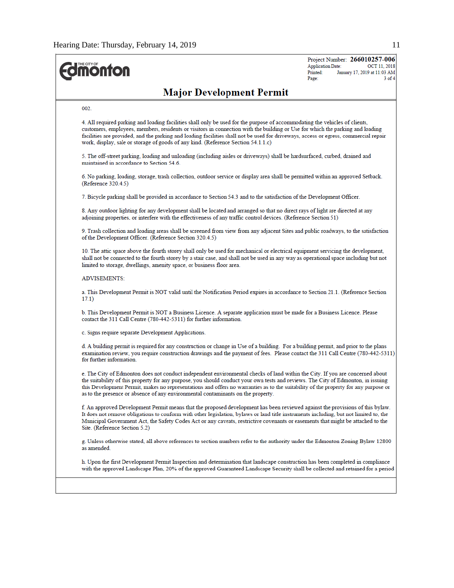

Project Number: 266010257-006 OCT 11, 2018 **Application Date:** Printed: January 17, 2019 at 11:03 AM Page:  $3$  of  $4$ 

# **Major Development Permit**

#### 002

4. All required parking and loading facilities shall only be used for the purpose of accommodating the vehicles of clients, customers, employees, members, residents or visitors in connection with the building or Use for which the parking and loading facilities are provided, and the parking and loading facilities shall not be used for driveways, access or egress, commercial repair work, display, sale or storage of goods of any kind. (Reference Section 54.1.1.c)

5. The off-street parking, loading and unloading (including aisles or driveways) shall be hardsurfaced, curbed, drained and maintained in accordance to Section 54.6.

6. No parking, loading, storage, trash collection, outdoor service or display area shall be permitted within an approved Setback. (Reference 320.4.5)

7. Bicycle parking shall be provided in accordance to Section 54.3 and to the satisfaction of the Development Officer.

8. Any outdoor lighting for any development shall be located and arranged so that no direct rays of light are directed at any adjoining properties, or interfere with the effectiveness of any traffic control devices. (Reference Section 51)

9. Trash collection and loading areas shall be screened from view from any adjacent Sites and public roadways, to the satisfaction of the Development Officer. (Reference Section 320.4.5)

10. The attic space above the fourth storey shall only be used for mechanical or electrical equipment servicing the development, shall not be connected to the fourth storey by a stair case, and shall not be used in any way as operational space including but not limited to storage, dwellings, amenity space, or business floor area.

#### **ADVISEMENTS:**

a. This Development Permit is NOT valid until the Notification Period expires in accordance to Section 21.1. (Reference Section  $17.1)$ 

b. This Development Permit is NOT a Business Licence. A separate application must be made for a Business Licence. Please contact the 311 Call Centre (780-442-5311) for further information.

c. Signs require separate Development Applications.

d. A building permit is required for any construction or change in Use of a building. For a building permit, and prior to the plans examination review, you require construction drawings and the payment of fees. Please contact the 311 Call Centre (780-442-5311) for further information.

e. The City of Edmonton does not conduct independent environmental checks of land within the City. If you are concerned about the suitability of this property for any purpose, you should conduct your own tests and reviews. The City of Edmonton, in issuing this Development Permit, makes no representations and offers no warranties as to the suitability of the property for any purpose or as to the presence or absence of any environmental contaminants on the property.

f. An approved Development Permit means that the proposed development has been reviewed against the provisions of this bylaw. It does not remove obligations to conform with other legislation, bylaws or land title instruments including, but not limited to, the Municipal Government Act, the Safety Codes Act or any caveats, restrictive covenants or easements that might be attached to the Site. (Reference Section 5.2)

g. Unless otherwise stated, all above references to section numbers refer to the authority under the Edmonton Zoning Bylaw 12800 as amended.

h. Upon the first Development Permit Inspection and determination that landscape construction has been completed in compliance with the approved Landscape Plan, 20% of the approved Guaranteed Landscape Security shall be collected and retained for a period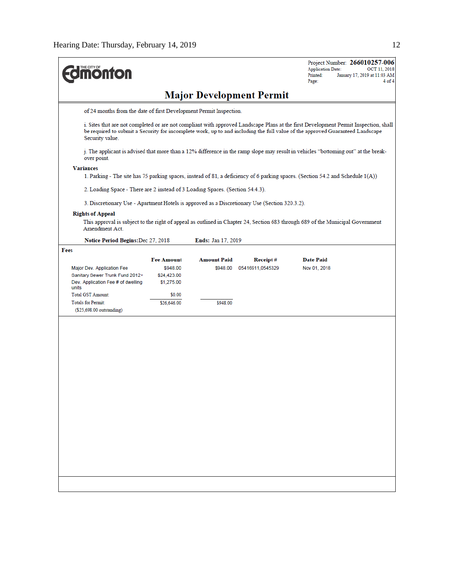| <b>monton</b>                                                                                 |                                                                                                                                    |                           |                                 | Project Number: 266010257-006<br><b>Application Date:</b><br>OCT 11, 2018<br>Printed:<br>January 17, 2019 at 11:03 AM<br>Page:<br>4 of 4                                                                                                                              |  |  |  |
|-----------------------------------------------------------------------------------------------|------------------------------------------------------------------------------------------------------------------------------------|---------------------------|---------------------------------|-----------------------------------------------------------------------------------------------------------------------------------------------------------------------------------------------------------------------------------------------------------------------|--|--|--|
|                                                                                               |                                                                                                                                    |                           | <b>Major Development Permit</b> |                                                                                                                                                                                                                                                                       |  |  |  |
| of 24 months from the date of first Development Permit Inspection.                            |                                                                                                                                    |                           |                                 |                                                                                                                                                                                                                                                                       |  |  |  |
| Security value.                                                                               |                                                                                                                                    |                           |                                 | i. Sites that are not completed or are not compliant with approved Landscape Plans at the first Development Permit Inspection, shall<br>be required to submit a Security for incomplete work, up to and including the full value of the approved Guaranteed Landscape |  |  |  |
| over point.                                                                                   | j. The applicant is advised that more than a 12% difference in the ramp slope may result in vehicles "bottoming out" at the break- |                           |                                 |                                                                                                                                                                                                                                                                       |  |  |  |
| <b>Variances</b>                                                                              |                                                                                                                                    |                           |                                 | 1. Parking - The site has 75 parking spaces, instead of 81, a deficiency of 6 parking spaces. (Section 54.2 and Schedule 1(A))                                                                                                                                        |  |  |  |
| 2. Loading Space - There are 2 instead of 3 Loading Spaces. (Section 54.4.3).                 |                                                                                                                                    |                           |                                 |                                                                                                                                                                                                                                                                       |  |  |  |
| 3. Discretionary Use - Apartment Hotels is approved as a Discretionary Use (Section 320.3.2). |                                                                                                                                    |                           |                                 |                                                                                                                                                                                                                                                                       |  |  |  |
| <b>Rights of Appeal</b><br>Amendment Act.                                                     |                                                                                                                                    |                           |                                 | This approval is subject to the right of appeal as outlined in Chapter 24, Section 683 through 689 of the Municipal Government                                                                                                                                        |  |  |  |
| Notice Period Begins: Dec 27, 2018                                                            |                                                                                                                                    | <b>Ends: Jan 17, 2019</b> |                                 |                                                                                                                                                                                                                                                                       |  |  |  |
| Fees                                                                                          | <b>Fee Amount</b>                                                                                                                  | <b>Amount Paid</b>        | Receipt#                        | <b>Date Paid</b>                                                                                                                                                                                                                                                      |  |  |  |
| Major Dev. Application Fee                                                                    | \$948.00                                                                                                                           | \$948.00                  | 05416911,0545329                | Nov 01, 2018                                                                                                                                                                                                                                                          |  |  |  |
| Sanitary Sewer Trunk Fund 2012+<br>Dev. Application Fee # of dwelling                         | \$24,423.00<br>\$1,275.00                                                                                                          |                           |                                 |                                                                                                                                                                                                                                                                       |  |  |  |
| units                                                                                         |                                                                                                                                    |                           |                                 |                                                                                                                                                                                                                                                                       |  |  |  |
| Total GST Amount:<br><b>Totals for Permit:</b>                                                | \$0.00                                                                                                                             |                           |                                 |                                                                                                                                                                                                                                                                       |  |  |  |
| (\$25,698.00 outstanding)                                                                     | \$26,646.00                                                                                                                        | \$948.00                  |                                 |                                                                                                                                                                                                                                                                       |  |  |  |
|                                                                                               |                                                                                                                                    |                           |                                 |                                                                                                                                                                                                                                                                       |  |  |  |
|                                                                                               |                                                                                                                                    |                           |                                 |                                                                                                                                                                                                                                                                       |  |  |  |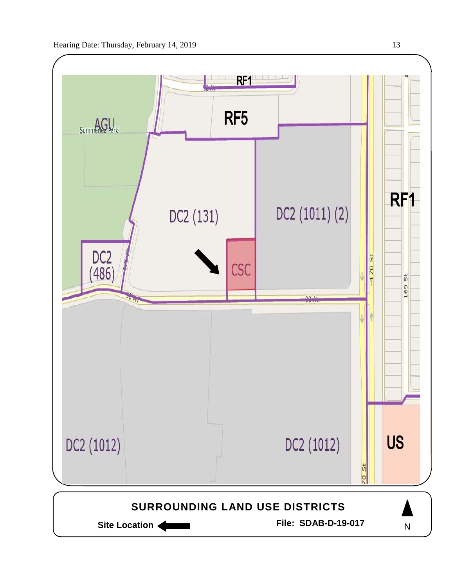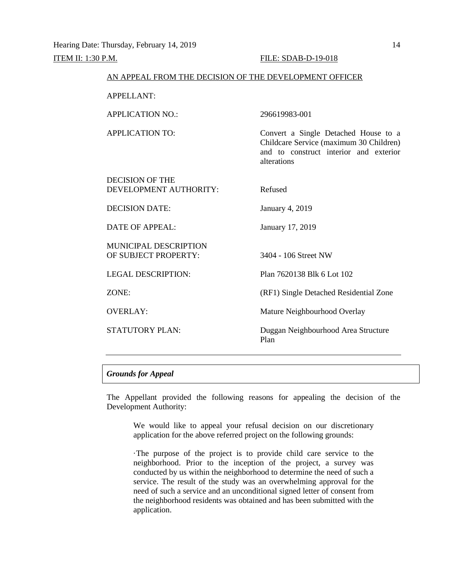| AN APPEAL FROM THE DECISION OF THE DEVELOPMENT OFFICER                                                                                   |
|------------------------------------------------------------------------------------------------------------------------------------------|
|                                                                                                                                          |
| 296619983-001                                                                                                                            |
| Convert a Single Detached House to a<br>Childcare Service (maximum 30 Children)<br>and to construct interior and exterior<br>alterations |
| Refused                                                                                                                                  |
| January 4, 2019                                                                                                                          |
| January 17, 2019                                                                                                                         |
| 3404 - 106 Street NW                                                                                                                     |
| Plan 7620138 Blk 6 Lot 102                                                                                                               |
| (RF1) Single Detached Residential Zone                                                                                                   |
| Mature Neighbourhood Overlay                                                                                                             |
| Duggan Neighbourhood Area Structure<br>Plan                                                                                              |
|                                                                                                                                          |

# *Grounds for Appeal*

The Appellant provided the following reasons for appealing the decision of the Development Authority:

We would like to appeal your refusal decision on our discretionary application for the above referred project on the following grounds:

·The purpose of the project is to provide child care service to the neighborhood. Prior to the inception of the project, a survey was conducted by us within the neighborhood to determine the need of such a service. The result of the study was an overwhelming approval for the need of such a service and an unconditional signed letter of consent from the neighborhood residents was obtained and has been submitted with the application.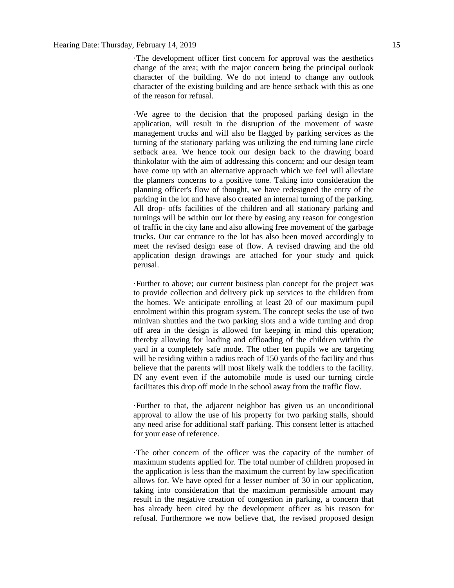·The development officer first concern for approval was the aesthetics change of the area; with the major concern being the principal outlook character of the building. We do not intend to change any outlook character of the existing building and are hence setback with this as one of the reason for refusal.

·We agree to the decision that the proposed parking design in the application, will result in the disruption of the movement of waste management trucks and will also be flagged by parking services as the turning of the stationary parking was utilizing the end turning lane circle setback area. We hence took our design back to the drawing board thinkolator with the aim of addressing this concern; and our design team have come up with an alternative approach which we feel will alleviate the planners concerns to a positive tone. Taking into consideration the planning officer's flow of thought, we have redesigned the entry of the parking in the lot and have also created an internal turning of the parking. All drop- offs facilities of the children and all stationary parking and turnings will be within our lot there by easing any reason for congestion of traffic in the city lane and also allowing free movement of the garbage trucks. Our car entrance to the lot has also been moved accordingly to meet the revised design ease of flow. A revised drawing and the old application design drawings are attached for your study and quick perusal.

·Further to above; our current business plan concept for the project was to provide collection and delivery pick up services to the children from the homes. We anticipate enrolling at least 20 of our maximum pupil enrolment within this program system. The concept seeks the use of two minivan shuttles and the two parking slots and a wide turning and drop off area in the design is allowed for keeping in mind this operation; thereby allowing for loading and offloading of the children within the yard in a completely safe mode. The other ten pupils we are targeting will be residing within a radius reach of 150 yards of the facility and thus believe that the parents will most likely walk the toddlers to the facility. IN any event even if the automobile mode is used our turning circle facilitates this drop off mode in the school away from the traffic flow.

·Further to that, the adjacent neighbor has given us an unconditional approval to allow the use of his property for two parking stalls, should any need arise for additional staff parking. This consent letter is attached for your ease of reference.

·The other concern of the officer was the capacity of the number of maximum students applied for. The total number of children proposed in the application is less than the maximum the current by law specification allows for. We have opted for a lesser number of 30 in our application, taking into consideration that the maximum permissible amount may result in the negative creation of congestion in parking, a concern that has already been cited by the development officer as his reason for refusal. Furthermore we now believe that, the revised proposed design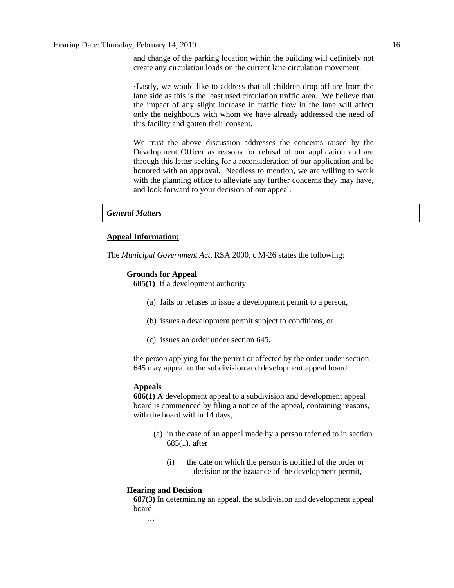and change of the parking location within the building will definitely not create any circulation loads on the current lane circulation movement.

·Lastly, we would like to address that all children drop off are from the lane side as this is the least used circulation traffic area. We believe that the impact of any slight increase in traffic flow in the lane will affect only the neighbours with whom we have already addressed the need of this facility and gotten their consent.

We trust the above discussion addresses the concerns raised by the Development Officer as reasons for refusal of our application and are through this letter seeking for a reconsideration of our application and be honored with an approval. Needless to mention, we are willing to work with the planning office to alleviate any further concerns they may have, and look forward to your decision of our appeal.

*General Matters*

# **Appeal Information:**

The *Municipal Government Act*, RSA 2000, c M-26 states the following:

## **Grounds for Appeal**

**685(1)** If a development authority

- (a) fails or refuses to issue a development permit to a person,
- (b) issues a development permit subject to conditions, or
- (c) issues an order under section 645,

the person applying for the permit or affected by the order under section 645 may appeal to the subdivision and development appeal board.

## **Appeals**

**686(1)** A development appeal to a subdivision and development appeal board is commenced by filing a notice of the appeal, containing reasons, with the board within 14 days,

- (a) in the case of an appeal made by a person referred to in section 685(1), after
	- (i) the date on which the person is notified of the order or decision or the issuance of the development permit,

#### **Hearing and Decision**

**687(3)** In determining an appeal, the subdivision and development appeal board

…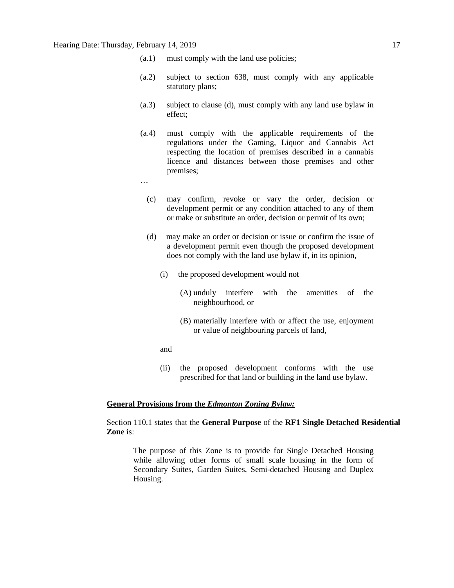# Hearing Date: Thursday, February 14, 2019 17 17

- (a.1) must comply with the land use policies;
- (a.2) subject to section 638, must comply with any applicable statutory plans;
- (a.3) subject to clause (d), must comply with any land use bylaw in effect;
- (a.4) must comply with the applicable requirements of the regulations under the Gaming, Liquor and Cannabis Act respecting the location of premises described in a cannabis licence and distances between those premises and other premises;
- …
	- (c) may confirm, revoke or vary the order, decision or development permit or any condition attached to any of them or make or substitute an order, decision or permit of its own;
	- (d) may make an order or decision or issue or confirm the issue of a development permit even though the proposed development does not comply with the land use bylaw if, in its opinion,
		- (i) the proposed development would not
			- (A) unduly interfere with the amenities of the neighbourhood, or
			- (B) materially interfere with or affect the use, enjoyment or value of neighbouring parcels of land,
		- and
		- (ii) the proposed development conforms with the use prescribed for that land or building in the land use bylaw.

# **General Provisions from the** *Edmonton Zoning Bylaw:*

Section 110.1 states that the **General Purpose** of the **RF1 Single Detached Residential Zone** is:

The purpose of this Zone is to provide for Single Detached Housing while allowing other forms of small scale housing in the form of Secondary Suites, Garden Suites, Semi-detached Housing and Duplex Housing.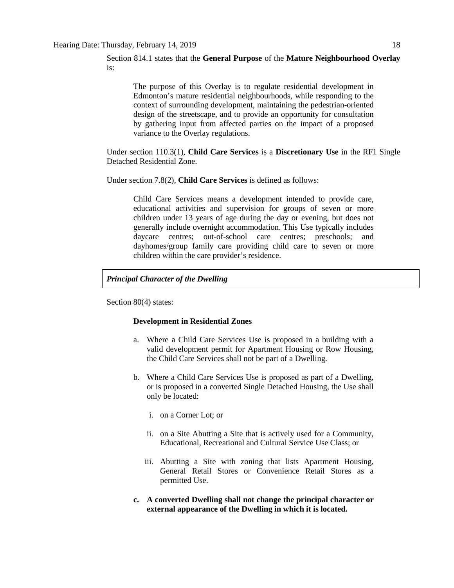The purpose of this Overlay is to regulate residential development in Edmonton's mature residential neighbourhoods, while responding to the context of surrounding development, maintaining the pedestrian-oriented design of the streetscape, and to provide an opportunity for consultation by gathering input from affected parties on the impact of a proposed variance to the Overlay regulations.

Under section 110.3(1), **Child Care Services** is a **Discretionary Use** in the RF1 Single Detached Residential Zone.

Under section 7.8(2), **Child Care Services** is defined as follows:

Child Care Services means a development intended to provide care, educational activities and supervision for groups of seven or more children under 13 years of age during the day or evening, but does not generally include overnight accommodation. This Use typically includes daycare centres; out-of-school care centres; preschools; and dayhomes/group family care providing child care to seven or more children within the care provider's residence.

# *Principal Character of the Dwelling*

Section 80(4) states:

#### **Development in Residential Zones**

- a. Where a Child Care Services Use is proposed in a building with a valid development permit for Apartment Housing or Row Housing, the Child Care Services shall not be part of a Dwelling.
- b. Where a Child Care Services Use is proposed as part of a Dwelling, or is proposed in a converted Single Detached Housing, the Use shall only be located:
	- i. on a Corner Lot; or
	- ii. on a Site Abutting a Site that is actively used for a Community, Educational, Recreational and Cultural Service Use Class; or
	- iii. Abutting a Site with zoning that lists Apartment Housing, General Retail Stores or Convenience Retail Stores as a permitted Use.
- **c. A converted Dwelling shall not change the principal character or external appearance of the Dwelling in which it is located.**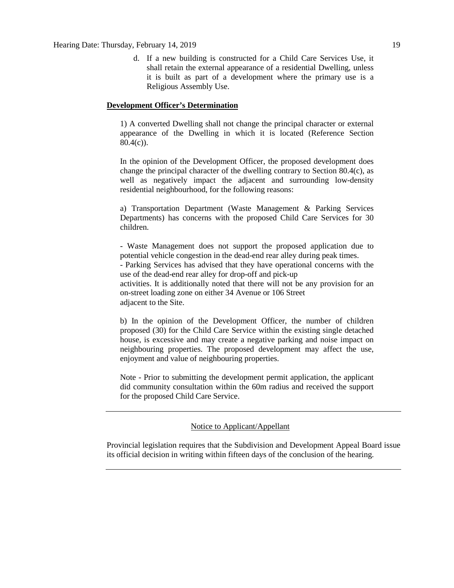# Hearing Date: Thursday, February 14, 2019 19

d. If a new building is constructed for a Child Care Services Use, it shall retain the external appearance of a residential Dwelling, unless it is built as part of a development where the primary use is a Religious Assembly Use.

# **Development Officer's Determination**

1) A converted Dwelling shall not change the principal character or external appearance of the Dwelling in which it is located (Reference Section  $80.4(c)$ ).

In the opinion of the Development Officer, the proposed development does change the principal character of the dwelling contrary to Section 80.4(c), as well as negatively impact the adjacent and surrounding low-density residential neighbourhood, for the following reasons:

a) Transportation Department (Waste Management & Parking Services Departments) has concerns with the proposed Child Care Services for 30 children.

- Waste Management does not support the proposed application due to potential vehicle congestion in the dead-end rear alley during peak times.

- Parking Services has advised that they have operational concerns with the use of the dead-end rear alley for drop-off and pick-up

activities. It is additionally noted that there will not be any provision for an on-street loading zone on either 34 Avenue or 106 Street adjacent to the Site.

b) In the opinion of the Development Officer, the number of children proposed (30) for the Child Care Service within the existing single detached house, is excessive and may create a negative parking and noise impact on neighbouring properties. The proposed development may affect the use, enjoyment and value of neighbouring properties.

Note - Prior to submitting the development permit application, the applicant did community consultation within the 60m radius and received the support for the proposed Child Care Service.

# Notice to Applicant/Appellant

Provincial legislation requires that the Subdivision and Development Appeal Board issue its official decision in writing within fifteen days of the conclusion of the hearing.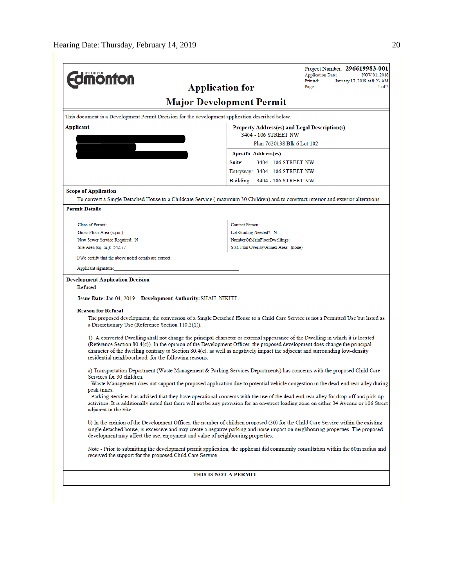| <b>monton</b>                                                                                                                                                                                                                                                                                                                                                                                                                                                                                                                                                                                                           |                                                    | Project Number: 296619983-001<br><b>Application Date:</b><br>NOV 01, 2018 |
|-------------------------------------------------------------------------------------------------------------------------------------------------------------------------------------------------------------------------------------------------------------------------------------------------------------------------------------------------------------------------------------------------------------------------------------------------------------------------------------------------------------------------------------------------------------------------------------------------------------------------|----------------------------------------------------|---------------------------------------------------------------------------|
| <b>Application for</b>                                                                                                                                                                                                                                                                                                                                                                                                                                                                                                                                                                                                  |                                                    | January 17, 2019 at 8:23 AM<br>Printed:<br>$1$ of $2$<br>Page:            |
|                                                                                                                                                                                                                                                                                                                                                                                                                                                                                                                                                                                                                         | <b>Major Development Permit</b>                    |                                                                           |
| This document is a Development Permit Decision for the development application described below.                                                                                                                                                                                                                                                                                                                                                                                                                                                                                                                         |                                                    |                                                                           |
| Applicant                                                                                                                                                                                                                                                                                                                                                                                                                                                                                                                                                                                                               | Property Address(es) and Legal Description(s)      |                                                                           |
|                                                                                                                                                                                                                                                                                                                                                                                                                                                                                                                                                                                                                         | 3404 - 106 STREET NW<br>Plan 7620138 Blk 6 Lot 102 |                                                                           |
|                                                                                                                                                                                                                                                                                                                                                                                                                                                                                                                                                                                                                         | <b>Specific Address(es)</b>                        |                                                                           |
|                                                                                                                                                                                                                                                                                                                                                                                                                                                                                                                                                                                                                         | Suite:<br>3404 - 106 STREET NW                     |                                                                           |
|                                                                                                                                                                                                                                                                                                                                                                                                                                                                                                                                                                                                                         | Entryway: 3404 - 106 STREET NW                     |                                                                           |
|                                                                                                                                                                                                                                                                                                                                                                                                                                                                                                                                                                                                                         | Building: 3404 - 106 STREET NW                     |                                                                           |
| <b>Scope of Application</b>                                                                                                                                                                                                                                                                                                                                                                                                                                                                                                                                                                                             |                                                    |                                                                           |
| To convert a Single Detached House to a Childcare Service (maximum 30 Children) and to construct interior and exterior alterations.                                                                                                                                                                                                                                                                                                                                                                                                                                                                                     |                                                    |                                                                           |
| <b>Permit Details</b>                                                                                                                                                                                                                                                                                                                                                                                                                                                                                                                                                                                                   |                                                    |                                                                           |
| Class of Permit:                                                                                                                                                                                                                                                                                                                                                                                                                                                                                                                                                                                                        | <b>Contact Person:</b>                             |                                                                           |
| Gross Floor Area (sq.m.):                                                                                                                                                                                                                                                                                                                                                                                                                                                                                                                                                                                               | Lot Grading Needed?: N                             |                                                                           |
| New Sewer Service Required: N                                                                                                                                                                                                                                                                                                                                                                                                                                                                                                                                                                                           | NumberOfMainFloorDwellings:                        |                                                                           |
| Site Area (sq. m.): 542.77                                                                                                                                                                                                                                                                                                                                                                                                                                                                                                                                                                                              | Stat. Plan Overlay/Annex Area: (none)              |                                                                           |
| I/We certify that the above noted details are correct.                                                                                                                                                                                                                                                                                                                                                                                                                                                                                                                                                                  |                                                    |                                                                           |
| Applicant signature:                                                                                                                                                                                                                                                                                                                                                                                                                                                                                                                                                                                                    |                                                    |                                                                           |
| Refused<br>Issue Date: Jan 04, 2019 Development Authority: SHAH, NIKHIL<br><b>Reason for Refusal</b><br>The proposed development, the conversion of a Single Detached House to a Child Care Service is not a Permitted Use but listed as<br>a Discretionary Use (Reference Section 110.3(1)).                                                                                                                                                                                                                                                                                                                           |                                                    |                                                                           |
| 1) A converted Dwelling shall not change the principal character or external appearance of the Dwelling in which it is located<br>(Reference Section 80.4(c)). In the opinion of the Development Officer, the proposed development does change the principal<br>character of the dwelling contrary to Section 80.4(c), as well as negatively impact the adjacent and surrounding low-density<br>residential neighbourhood, for the following reasons:                                                                                                                                                                   |                                                    |                                                                           |
| a) Transportation Department (Waste Management & Parking Services Departments) has concerns with the proposed Child Care<br>Services for 30 children.<br>- Waste Management does not support the proposed application due to potential vehicle congestion in the dead-end rear alley during<br>peak times.<br>- Parking Services has advised that they have operational concerns with the use of the dead-end rear alley for drop-off and pick-up<br>activities. It is additionally noted that there will not be any provision for an on-street loading zone on either 34 Avenue or 106 Street<br>adjacent to the Site. |                                                    |                                                                           |
| b) In the opinion of the Development Officer, the number of children proposed (30) for the Child Care Service within the existing<br>single detached house, is excessive and may create a negative parking and noise impact on neighbouring properties. The proposed<br>development may affect the use, enjoyment and value of neighbouring properties.                                                                                                                                                                                                                                                                 |                                                    |                                                                           |
| Note - Prior to submitting the development permit application, the applicant did community consultation within the 60m radius and<br>received the support for the proposed Child Care Service.                                                                                                                                                                                                                                                                                                                                                                                                                          |                                                    |                                                                           |
|                                                                                                                                                                                                                                                                                                                                                                                                                                                                                                                                                                                                                         | THIS IS NOT A PERMIT                               |                                                                           |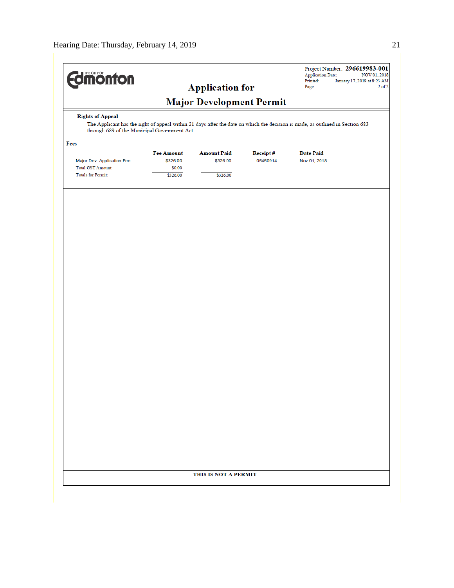| <b>Imonton</b>                                                                                                                                                                                           |                                                     | <b>Application for</b>                     |                             | <b>Application Date:</b><br>Printed:<br>Page: | Project Number: 296619983-001<br>NOV 01, 2018<br>January 17, 2019 at 8:23 AM<br>$2$ of $2$ |
|----------------------------------------------------------------------------------------------------------------------------------------------------------------------------------------------------------|-----------------------------------------------------|--------------------------------------------|-----------------------------|-----------------------------------------------|--------------------------------------------------------------------------------------------|
|                                                                                                                                                                                                          |                                                     | <b>Major Development Permit</b>            |                             |                                               |                                                                                            |
| <b>Rights of Appeal</b><br>The Applicant has the right of appeal within 21 days after the date on which the decision is made, as outlined in Section 683<br>through 689 of the Municipal Government Act. |                                                     |                                            |                             |                                               |                                                                                            |
| Fees                                                                                                                                                                                                     |                                                     |                                            |                             |                                               |                                                                                            |
| Major Dev. Application Fee<br>Total GST Amount:<br><b>Totals for Permit:</b>                                                                                                                             | <b>Fee Amount</b><br>\$326.00<br>\$0.00<br>\$326.00 | <b>Amount Paid</b><br>\$326.00<br>\$326.00 | <b>Receipt#</b><br>05450914 | <b>Date Paid</b><br>Nov 01, 2018              |                                                                                            |
|                                                                                                                                                                                                          |                                                     |                                            |                             |                                               |                                                                                            |
|                                                                                                                                                                                                          |                                                     |                                            |                             |                                               |                                                                                            |
|                                                                                                                                                                                                          |                                                     |                                            |                             |                                               |                                                                                            |
|                                                                                                                                                                                                          |                                                     |                                            |                             |                                               |                                                                                            |
|                                                                                                                                                                                                          |                                                     |                                            |                             |                                               |                                                                                            |
|                                                                                                                                                                                                          |                                                     |                                            |                             |                                               |                                                                                            |
|                                                                                                                                                                                                          |                                                     |                                            |                             |                                               |                                                                                            |
|                                                                                                                                                                                                          |                                                     |                                            |                             |                                               |                                                                                            |
|                                                                                                                                                                                                          |                                                     |                                            |                             |                                               |                                                                                            |
|                                                                                                                                                                                                          |                                                     |                                            |                             |                                               |                                                                                            |
|                                                                                                                                                                                                          |                                                     |                                            |                             |                                               |                                                                                            |
|                                                                                                                                                                                                          |                                                     |                                            |                             |                                               |                                                                                            |
|                                                                                                                                                                                                          |                                                     |                                            |                             |                                               |                                                                                            |
|                                                                                                                                                                                                          |                                                     | THIS IS NOT A PERMIT                       |                             |                                               |                                                                                            |
|                                                                                                                                                                                                          |                                                     |                                            |                             |                                               |                                                                                            |